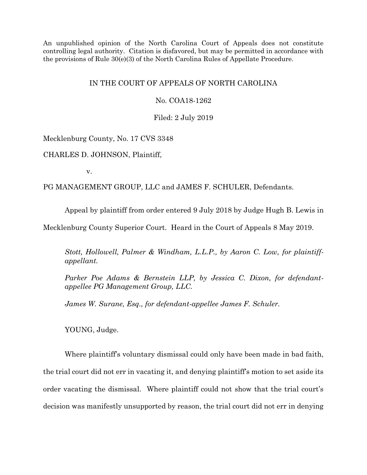An unpublished opinion of the North Carolina Court of Appeals does not constitute controlling legal authority. Citation is disfavored, but may be permitted in accordance with the provisions of Rule 30(e)(3) of the North Carolina Rules of Appellate Procedure.

# IN THE COURT OF APPEALS OF NORTH CAROLINA

No. COA18-1262

Filed: 2 July 2019

Mecklenburg County, No. 17 CVS 3348

CHARLES D. JOHNSON, Plaintiff,

v.

PG MANAGEMENT GROUP, LLC and JAMES F. SCHULER, Defendants.

Appeal by plaintiff from order entered 9 July 2018 by Judge Hugh B. Lewis in

Mecklenburg County Superior Court. Heard in the Court of Appeals 8 May 2019.

*Stott, Hollowell, Palmer & Windham, L.L.P., by Aaron C. Low, for plaintiffappellant.*

*Parker Poe Adams & Bernstein LLP, by Jessica C. Dixon, for defendantappellee PG Management Group, LLC.*

*James W. Surane, Esq., for defendant-appellee James F. Schuler.*

YOUNG, Judge.

Where plaintiff's voluntary dismissal could only have been made in bad faith, the trial court did not err in vacating it, and denying plaintiff's motion to set aside its order vacating the dismissal. Where plaintiff could not show that the trial court's decision was manifestly unsupported by reason, the trial court did not err in denying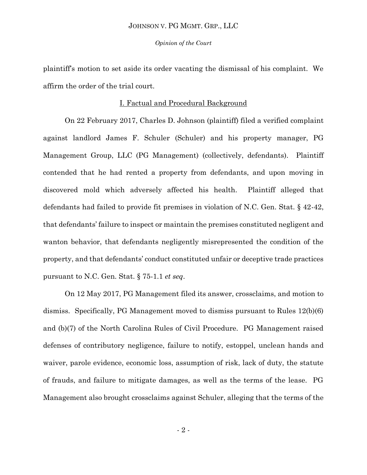#### *Opinion of the Court*

plaintiff's motion to set aside its order vacating the dismissal of his complaint. We affirm the order of the trial court.

## I. Factual and Procedural Background

On 22 February 2017, Charles D. Johnson (plaintiff) filed a verified complaint against landlord James F. Schuler (Schuler) and his property manager, PG Management Group, LLC (PG Management) (collectively, defendants). Plaintiff contended that he had rented a property from defendants, and upon moving in discovered mold which adversely affected his health. Plaintiff alleged that defendants had failed to provide fit premises in violation of N.C. Gen. Stat. § 42-42, that defendants' failure to inspect or maintain the premises constituted negligent and wanton behavior, that defendants negligently misrepresented the condition of the property, and that defendants' conduct constituted unfair or deceptive trade practices pursuant to N.C. Gen. Stat. § 75-1.1 *et seq*.

On 12 May 2017, PG Management filed its answer, crossclaims, and motion to dismiss. Specifically, PG Management moved to dismiss pursuant to Rules 12(b)(6) and (b)(7) of the North Carolina Rules of Civil Procedure. PG Management raised defenses of contributory negligence, failure to notify, estoppel, unclean hands and waiver, parole evidence, economic loss, assumption of risk, lack of duty, the statute of frauds, and failure to mitigate damages, as well as the terms of the lease. PG Management also brought crossclaims against Schuler, alleging that the terms of the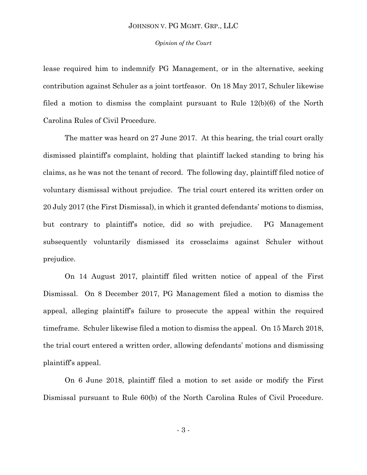#### *Opinion of the Court*

lease required him to indemnify PG Management, or in the alternative, seeking contribution against Schuler as a joint tortfeasor.On 18 May 2017, Schuler likewise filed a motion to dismiss the complaint pursuant to Rule 12(b)(6) of the North Carolina Rules of Civil Procedure.

The matter was heard on 27 June 2017. At this hearing, the trial court orally dismissed plaintiff's complaint, holding that plaintiff lacked standing to bring his claims, as he was not the tenant of record.The following day, plaintiff filed notice of voluntary dismissal without prejudice.The trial court entered its written order on 20 July 2017 (the First Dismissal), in which it granted defendants' motions to dismiss, but contrary to plaintiff's notice, did so with prejudice.PG Management subsequently voluntarily dismissed its crossclaims against Schuler without prejudice.

On 14 August 2017, plaintiff filed written notice of appeal of the First Dismissal.On 8 December 2017, PG Management filed a motion to dismiss the appeal, alleging plaintiff's failure to prosecute the appeal within the required timeframe.Schuler likewise filed a motion to dismiss the appeal.On 15 March 2018, the trial court entered a written order, allowing defendants' motions and dismissing plaintiff's appeal.

On 6 June 2018, plaintiff filed a motion to set aside or modify the First Dismissal pursuant to Rule 60(b) of the North Carolina Rules of Civil Procedure.

- 3 -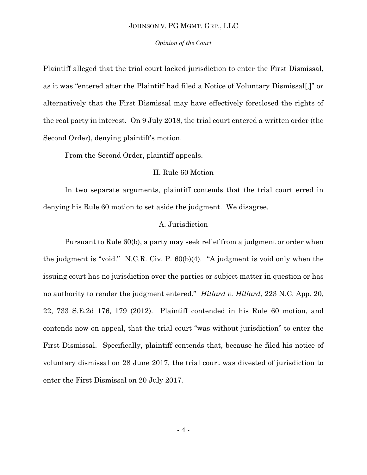#### *Opinion of the Court*

Plaintiff alleged that the trial court lacked jurisdiction to enter the First Dismissal, as it was "entered after the Plaintiff had filed a Notice of Voluntary Dismissal[,]" or alternatively that the First Dismissal may have effectively foreclosed the rights of the real party in interest.On 9 July 2018, the trial court entered a written order (the Second Order), denying plaintiff's motion.

From the Second Order, plaintiff appeals.

## II. Rule 60 Motion

In two separate arguments, plaintiff contends that the trial court erred in denying his Rule 60 motion to set aside the judgment. We disagree.

## A. Jurisdiction

Pursuant to Rule 60(b), a party may seek relief from a judgment or order when the judgment is "void." N.C.R. Civ. P. 60(b)(4). "A judgment is void only when the issuing court has no jurisdiction over the parties or subject matter in question or has no authority to render the judgment entered." *Hillard v. Hillard*, 223 N.C. App. 20, 22, 733 S.E.2d 176, 179 (2012). Plaintiff contended in his Rule 60 motion, and contends now on appeal, that the trial court "was without jurisdiction" to enter the First Dismissal.Specifically, plaintiff contends that, because he filed his notice of voluntary dismissal on 28 June 2017, the trial court was divested of jurisdiction to enter the First Dismissal on 20 July 2017.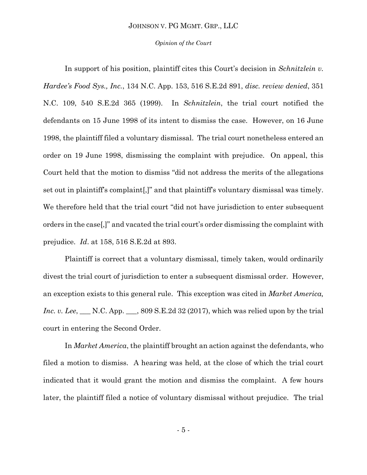#### *Opinion of the Court*

In support of his position, plaintiff cites this Court's decision in *Schnitzlein v. Hardee's Food Sys., Inc.*, 134 N.C. App. 153, 516 S.E.2d 891, *disc. review denied*, 351 N.C. 109, 540 S.E.2d 365 (1999). In *Schnitzlein*, the trial court notified the defendants on 15 June 1998 of its intent to dismiss the case. However, on 16 June 1998, the plaintiff filed a voluntary dismissal. The trial court nonetheless entered an order on 19 June 1998, dismissing the complaint with prejudice. On appeal, this Court held that the motion to dismiss "did not address the merits of the allegations set out in plaintiff's complaint[,]" and that plaintiff's voluntary dismissal was timely. We therefore held that the trial court "did not have jurisdiction to enter subsequent orders in the case[,]" and vacated the trial court's order dismissing the complaint with prejudice. *Id*. at 158, 516 S.E.2d at 893.

Plaintiff is correct that a voluntary dismissal, timely taken, would ordinarily divest the trial court of jurisdiction to enter a subsequent dismissal order. However, an exception exists to this general rule. This exception was cited in *Market America, Inc. v. Lee*, \_\_\_ N.C. App. \_\_\_, 809 S.E.2d 32 (2017), which was relied upon by the trial court in entering the Second Order.

In *Market America*, the plaintiff brought an action against the defendants, who filed a motion to dismiss. A hearing was held, at the close of which the trial court indicated that it would grant the motion and dismiss the complaint. A few hours later, the plaintiff filed a notice of voluntary dismissal without prejudice. The trial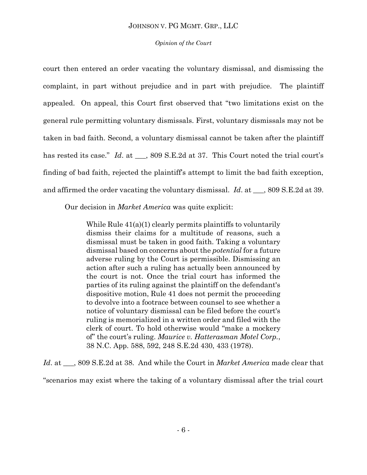# *Opinion of the Court*

court then entered an order vacating the voluntary dismissal, and dismissing the complaint, in part without prejudice and in part with prejudice. The plaintiff appealed. On appeal, this Court first observed that "two limitations exist on the general rule permitting voluntary dismissals. First, voluntary dismissals may not be taken in bad faith. Second, a voluntary dismissal cannot be taken after the plaintiff has rested its case." *Id*. at \_\_\_, 809 S.E.2d at 37. This Court noted the trial court's finding of bad faith, rejected the plaintiff's attempt to limit the bad faith exception, and affirmed the order vacating the voluntary dismissal. *Id*. at \_\_\_, 809 S.E.2d at 39.

Our decision in *Market America* was quite explicit:

While Rule 41(a)(1) clearly permits plaintiffs to voluntarily dismiss their claims for a multitude of reasons, such a dismissal must be taken in good faith. Taking a voluntary dismissal based on concerns about the *potential* for a future adverse ruling by the Court is permissible. Dismissing an action after such a ruling has actually been announced by the court is not. Once the trial court has informed the parties of its ruling against the plaintiff on the defendant's dispositive motion, Rule 41 does not permit the proceeding to devolve into a footrace between counsel to see whether a notice of voluntary dismissal can be filed before the court's ruling is memorialized in a written order and filed with the clerk of court. To hold otherwise would "make a mockery of" the court's ruling. *Maurice v. Hatterasman Motel Corp.*, 38 N.C. App. 588, 592, 248 S.E.2d 430, 433 (1978).

*Id*. at \_\_\_, 809 S.E.2d at 38. And while the Court in *Market America* made clear that

"scenarios may exist where the taking of a voluntary dismissal after the trial court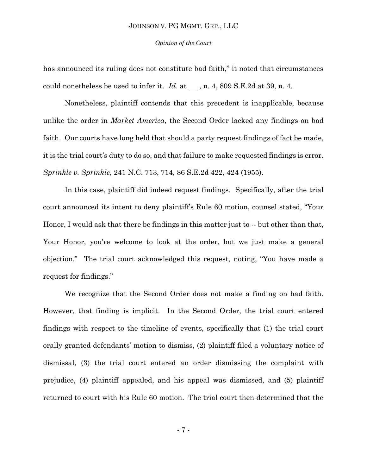*Opinion of the Court*

has announced its ruling does not constitute bad faith," it noted that circumstances could nonetheless be used to infer it. *Id*. at \_\_\_, n. 4, 809 S.E.2d at 39, n. 4.

Nonetheless, plaintiff contends that this precedent is inapplicable, because unlike the order in *Market America*, the Second Order lacked any findings on bad faith. Our courts have long held that should a party request findings of fact be made, it is the trial court's duty to do so, and that failure to make requested findings is error. *Sprinkle v. Sprinkle*, 241 N.C. 713, 714, 86 S.E.2d 422, 424 (1955).

In this case, plaintiff did indeed request findings. Specifically, after the trial court announced its intent to deny plaintiff's Rule 60 motion, counsel stated, "Your Honor, I would ask that there be findings in this matter just to -- but other than that, Your Honor, you're welcome to look at the order, but we just make a general objection." The trial court acknowledged this request, noting, "You have made a request for findings."

We recognize that the Second Order does not make a finding on bad faith. However, that finding is implicit. In the Second Order, the trial court entered findings with respect to the timeline of events, specifically that (1) the trial court orally granted defendants' motion to dismiss, (2) plaintiff filed a voluntary notice of dismissal, (3) the trial court entered an order dismissing the complaint with prejudice, (4) plaintiff appealed, and his appeal was dismissed, and (5) plaintiff returned to court with his Rule 60 motion. The trial court then determined that the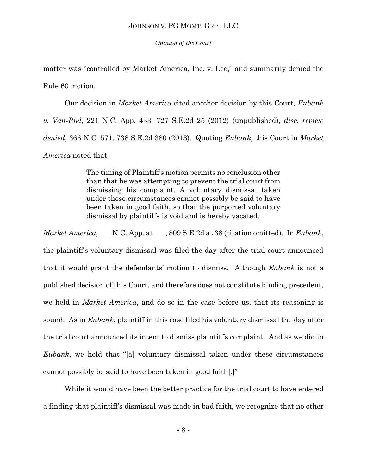*Opinion of the Court*

matter was "controlled by Market America, Inc. v. Lee," and summarily denied the Rule 60 motion.

Our decision in *Market America* cited another decision by this Court, *Eubank v. Van-Riel*, 221 N.C. App. 433, 727 S.E.2d 25 (2012) (unpublished), *disc. review denied*, 366 N.C. 571, 738 S.E.2d 380 (2013). Quoting *Eubank*, this Court in *Market America* noted that

> The timing of Plaintiff's motion permits no conclusion other than that he was attempting to prevent the trial court from dismissing his complaint. A voluntary dismissal taken under these circumstances cannot possibly be said to have been taken in good faith, so that the purported voluntary dismissal by plaintiffs is void and is hereby vacated.

*Market America*, \_\_\_ N.C. App. at \_\_\_, 809 S.E.2d at 38 (citation omitted). In *Eubank*, the plaintiff's voluntary dismissal was filed the day after the trial court announced that it would grant the defendants' motion to dismiss. Although *Eubank* is not a published decision of this Court, and therefore does not constitute binding precedent, we held in *Market America*, and do so in the case before us, that its reasoning is sound. As in *Eubank*, plaintiff in this case filed his voluntary dismissal the day after the trial court announced its intent to dismiss plaintiff's complaint. And as we did in *Eubank*, we hold that "[a] voluntary dismissal taken under these circumstances cannot possibly be said to have been taken in good faith[.]"

While it would have been the better practice for the trial court to have entered a finding that plaintiff's dismissal was made in bad faith, we recognize that no other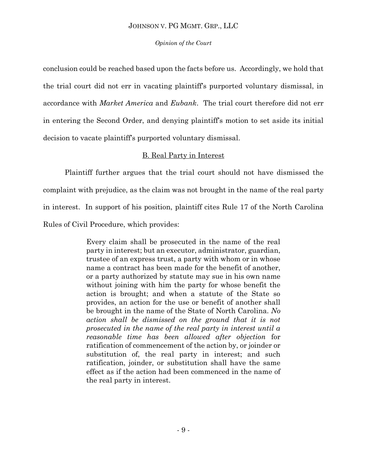# *Opinion of the Court*

conclusion could be reached based upon the facts before us. Accordingly, we hold that the trial court did not err in vacating plaintiff's purported voluntary dismissal, in accordance with *Market America* and *Eubank*. The trial court therefore did not err in entering the Second Order, and denying plaintiff's motion to set aside its initial decision to vacate plaintiff's purported voluntary dismissal.

# B. Real Party in Interest

Plaintiff further argues that the trial court should not have dismissed the complaint with prejudice, as the claim was not brought in the name of the real party in interest. In support of his position, plaintiff cites Rule 17 of the North Carolina Rules of Civil Procedure, which provides:

> Every claim shall be prosecuted in the name of the real party in interest; but an executor, administrator, guardian, trustee of an express trust, a party with whom or in whose name a contract has been made for the benefit of another, or a party authorized by statute may sue in his own name without joining with him the party for whose benefit the action is brought; and when a statute of the State so provides, an action for the use or benefit of another shall be brought in the name of the State of North Carolina. *No action shall be dismissed on the ground that it is not prosecuted in the name of the real party in interest until a reasonable time has been allowed after objection* for ratification of commencement of the action by, or joinder or substitution of, the real party in interest; and such ratification, joinder, or substitution shall have the same effect as if the action had been commenced in the name of the real party in interest.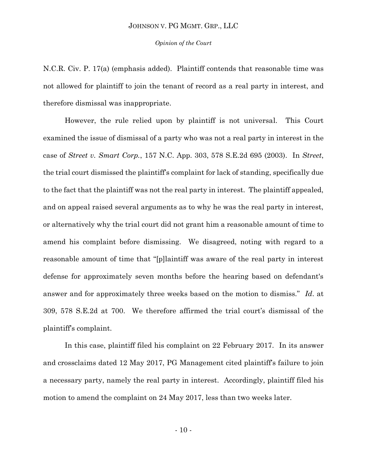#### *Opinion of the Court*

N.C.R. Civ. P. 17(a) (emphasis added). Plaintiff contends that reasonable time was not allowed for plaintiff to join the tenant of record as a real party in interest, and therefore dismissal was inappropriate.

However, the rule relied upon by plaintiff is not universal. This Court examined the issue of dismissal of a party who was not a real party in interest in the case of *Street v. Smart Corp.*, 157 N.C. App. 303, 578 S.E.2d 695 (2003). In *Street*, the trial court dismissed the plaintiff's complaint for lack of standing, specifically due to the fact that the plaintiff was not the real party in interest. The plaintiff appealed, and on appeal raised several arguments as to why he was the real party in interest, or alternatively why the trial court did not grant him a reasonable amount of time to amend his complaint before dismissing. We disagreed, noting with regard to a reasonable amount of time that "[p]laintiff was aware of the real party in interest defense for approximately seven months before the hearing based on defendant's answer and for approximately three weeks based on the motion to dismiss." *Id*. at 309, 578 S.E.2d at 700. We therefore affirmed the trial court's dismissal of the plaintiff's complaint.

In this case, plaintiff filed his complaint on 22 February 2017.In its answer and crossclaims dated 12 May 2017, PG Management cited plaintiff's failure to join a necessary party, namely the real party in interest.Accordingly, plaintiff filed his motion to amend the complaint on 24 May 2017, less than two weeks later.